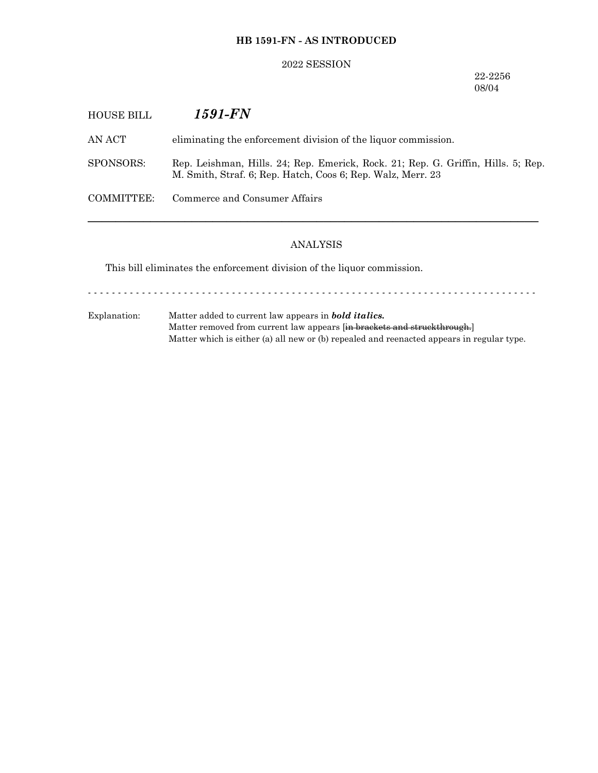## **HB 1591-FN - AS INTRODUCED**

### 2022 SESSION

22-2256 08/04

| HOUSE BILL | 1591-FN                                                                                                                                          |
|------------|--------------------------------------------------------------------------------------------------------------------------------------------------|
| AN ACT     | eliminating the enforcement division of the liquor commission.                                                                                   |
| SPONSORS:  | Rep. Leishman, Hills. 24; Rep. Emerick, Rock. 21; Rep. G. Griffin, Hills. 5; Rep.<br>M. Smith, Straf. 6; Rep. Hatch, Coos 6; Rep. Walz, Merr. 23 |
| COMMITTEE: | Commerce and Consumer Affairs                                                                                                                    |
|            |                                                                                                                                                  |

## ANALYSIS

This bill eliminates the enforcement division of the liquor commission.

- - - - - - - - - - - - - - - - - - - - - - - - - - - - - - - - - - - - - - - - - - - - - - - - - - - - - - - - - - - - - - - - - - - - - - - - - - -

Explanation: Matter added to current law appears in *bold italics.* Matter removed from current law appears [in brackets and struckthrough.] Matter which is either (a) all new or (b) repealed and reenacted appears in regular type.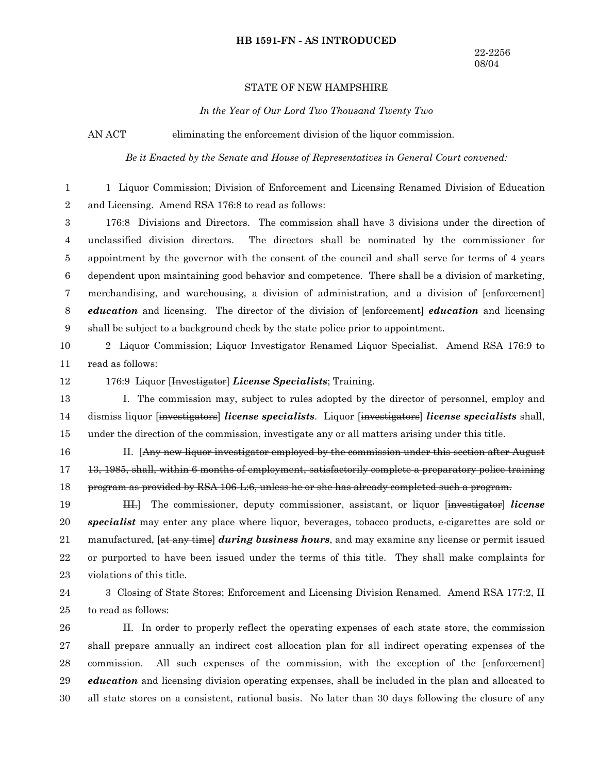### **HB 1591-FN - AS INTRODUCED**

### STATE OF NEW HAMPSHIRE

*In the Year of Our Lord Two Thousand Twenty Two*

AN ACT eliminating the enforcement division of the liquor commission.

*Be it Enacted by the Senate and House of Representatives in General Court convened:*

1 Liquor Commission; Division of Enforcement and Licensing Renamed Division of Education and Licensing. Amend RSA 176:8 to read as follows: 1 2

176:8 Divisions and Directors. The commission shall have 3 divisions under the direction of unclassified division directors. The directors shall be nominated by the commissioner for appointment by the governor with the consent of the council and shall serve for terms of 4 years dependent upon maintaining good behavior and competence. There shall be a division of marketing, merchandising, and warehousing, a division of administration, and a division of [enforcement] *education* and licensing. The director of the division of [enforcement] *education* and licensing shall be subject to a background check by the state police prior to appointment. 3 4 5 6 7 8 9

2 Liquor Commission; Liquor Investigator Renamed Liquor Specialist. Amend RSA 176:9 to read as follows: 10 11

12

176:9 Liquor [Investigator] *License Specialists*; Training.

I. The commission may, subject to rules adopted by the director of personnel, employ and dismiss liquor [investigators] *license specialists*. Liquor [investigators] *license specialists* shall, under the direction of the commission, investigate any or all matters arising under this title. 13 14 15

16

II. [Any new liquor investigator employed by the commission under this section after August 13, 1985, shall, within 6 months of employment, satisfactorily complete a preparatory police training program as provided by RSA 106-L:6, unless he or she has already completed such a program. 17 18

III.] The commissioner, deputy commissioner, assistant, or liquor [investigator] *license specialist* may enter any place where liquor, beverages, tobacco products, e-cigarettes are sold or manufactured, [at any time] *during business hours*, and may examine any license or permit issued or purported to have been issued under the terms of this title. They shall make complaints for violations of this title. 19 20 21 22 23

3 Closing of State Stores; Enforcement and Licensing Division Renamed. Amend RSA 177:2, II to read as follows: 24 25

II. In order to properly reflect the operating expenses of each state store, the commission shall prepare annually an indirect cost allocation plan for all indirect operating expenses of the commission. All such expenses of the commission, with the exception of the [enforcement] *education* and licensing division operating expenses, shall be included in the plan and allocated to all state stores on a consistent, rational basis. No later than 30 days following the closure of any 26 27 28 29 30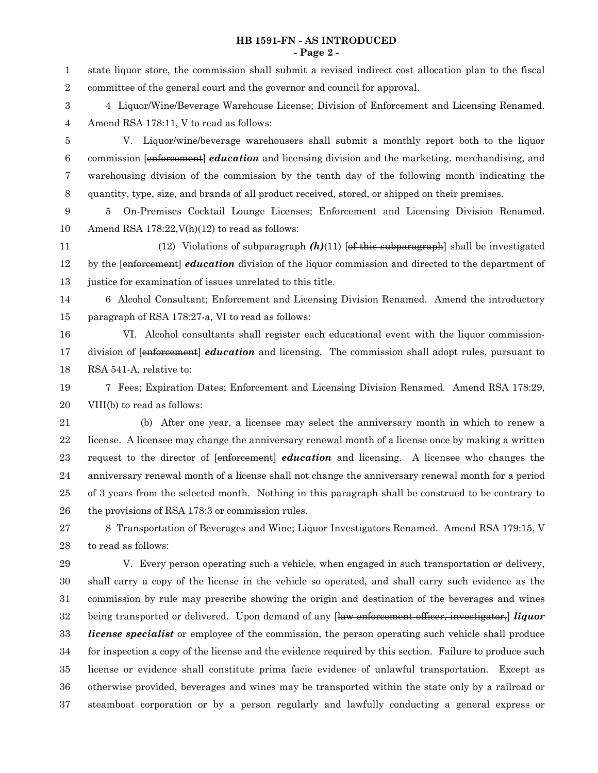### **HB 1591-FN - AS INTRODUCED - Page 2 -**

state liquor store, the commission shall submit a revised indirect cost allocation plan to the fiscal committee of the general court and the governor and council for approval. 4 Liquor/Wine/Beverage Warehouse License; Division of Enforcement and Licensing Renamed. Amend RSA 178:11, V to read as follows: V. Liquor/wine/beverage warehousers shall submit a monthly report both to the liquor commission [enforcement] *education* and licensing division and the marketing, merchandising, and warehousing division of the commission by the tenth day of the following month indicating the quantity, type, size, and brands of all product received, stored, or shipped on their premises. 5 On-Premises Cocktail Lounge Licenses; Enforcement and Licensing Division Renamed. Amend RSA 178:22, V(h)(12) to read as follows: (12) Violations of subparagraph  $(h)(11)$  [of this subparagraph] shall be investigated by the [enforeement] *education* division of the liquor commission and directed to the department of justice for examination of issues unrelated to this title. 6 Alcohol Consultant; Enforcement and Licensing Division Renamed. Amend the introductory paragraph of RSA 178:27-a, VI to read as follows: VI. Alcohol consultants shall register each educational event with the liquor commissiondivision of [enforeement] *education* and licensing. The commission shall adopt rules, pursuant to RSA 541-A, relative to: 7 Fees; Expiration Dates; Enforcement and Licensing Division Renamed. Amend RSA 178:29, VIII(b) to read as follows: (b) After one year, a licensee may select the anniversary month in which to renew a license. A licensee may change the anniversary renewal month of a license once by making a written request to the director of [enforcement] *education* and licensing. A licensee who changes the anniversary renewal month of a license shall not change the anniversary renewal month for a period of 3 years from the selected month. Nothing in this paragraph shall be construed to be contrary to the provisions of RSA 178:3 or commission rules. 8 Transportation of Beverages and Wine; Liquor Investigators Renamed. Amend RSA 179:15, V to read as follows: V. Every person operating such a vehicle, when engaged in such transportation or delivery, shall carry a copy of the license in the vehicle so operated, and shall carry such evidence as the commission by rule may prescribe showing the origin and destination of the beverages and wines being transported or delivered. Upon demand of any [law enforcement officer, investigator,] *liquor license specialist* or employee of the commission, the person operating such vehicle shall produce for inspection a copy of the license and the evidence required by this section. Failure to produce such license or evidence shall constitute prima facie evidence of unlawful transportation. Except as otherwise provided, beverages and wines may be transported within the state only by a railroad or steamboat corporation or by a person regularly and lawfully conducting a general express or 1 2 3 4 5 6 7 8 9 10 11 12 13 14 15 16 17 18 19 20 21 22 23 24 25 26 27 28 29 30 31 32 33 34 35 36 37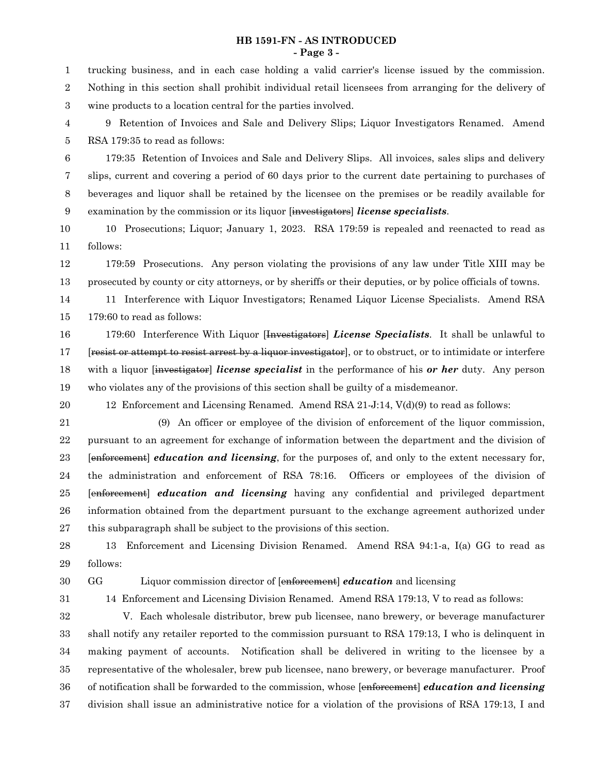### **HB 1591-FN - AS INTRODUCED - Page 3 -**

trucking business, and in each case holding a valid carrier's license issued by the commission. Nothing in this section shall prohibit individual retail licensees from arranging for the delivery of wine products to a location central for the parties involved. 1 2 3

9 Retention of Invoices and Sale and Delivery Slips; Liquor Investigators Renamed. Amend RSA 179:35 to read as follows: 4 5

179:35 Retention of Invoices and Sale and Delivery Slips. All invoices, sales slips and delivery slips, current and covering a period of 60 days prior to the current date pertaining to purchases of beverages and liquor shall be retained by the licensee on the premises or be readily available for examination by the commission or its liquor [investigators] *license specialists*. 6 7 8 9

10 Prosecutions; Liquor; January 1, 2023. RSA 179:59 is repealed and reenacted to read as follows: 10 11

179:59 Prosecutions. Any person violating the provisions of any law under Title XIII may be prosecuted by county or city attorneys, or by sheriffs or their deputies, or by police officials of towns. 12 13

11 Interference with Liquor Investigators; Renamed Liquor License Specialists. Amend RSA 179:60 to read as follows: 14 15

179:60 Interference With Liquor [Investigators] *License Specialists*. It shall be unlawful to [resist or attempt to resist arrest by a liquor investigator], or to obstruct, or to intimidate or interfere with a liquor [investigator] *license specialist* in the performance of his *or her* duty. Any person who violates any of the provisions of this section shall be guilty of a misdemeanor. 16 17 18 19

12 Enforcement and Licensing Renamed. Amend RSA 21-J:14, V(d)(9) to read as follows: 20

(9) An officer or employee of the division of enforcement of the liquor commission, pursuant to an agreement for exchange of information between the department and the division of [enforcement] *education and licensing*, for the purposes of, and only to the extent necessary for, the administration and enforcement of RSA 78:16. Officers or employees of the division of [enforcement] *education and licensing* having any confidential and privileged department information obtained from the department pursuant to the exchange agreement authorized under this subparagraph shall be subject to the provisions of this section. 21 22 23 24 25 26 27

13 Enforcement and Licensing Division Renamed. Amend RSA 94:1-a, I(a) GG to read as follows: 28 29

30

31

# GG Liquor commission director of [enforcement] *education* and licensing

14 Enforcement and Licensing Division Renamed. Amend RSA 179:13, V to read as follows:

V. Each wholesale distributor, brew pub licensee, nano brewery, or beverage manufacturer shall notify any retailer reported to the commission pursuant to RSA 179:13, I who is delinquent in making payment of accounts. Notification shall be delivered in writing to the licensee by a representative of the wholesaler, brew pub licensee, nano brewery, or beverage manufacturer. Proof of notification shall be forwarded to the commission, whose [enforcement] *education and licensing* division shall issue an administrative notice for a violation of the provisions of RSA 179:13, I and 32 33 34 35 36 37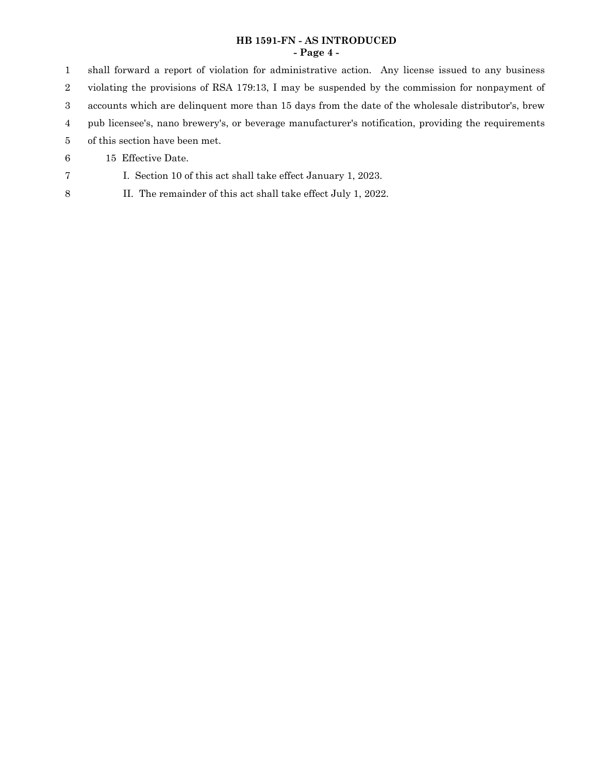## **HB 1591-FN - AS INTRODUCED - Page 4 -**

shall forward a report of violation for administrative action. Any license issued to any business violating the provisions of RSA 179:13, I may be suspended by the commission for nonpayment of accounts which are delinquent more than 15 days from the date of the wholesale distributor's, brew pub licensee's, nano brewery's, or beverage manufacturer's notification, providing the requirements of this section have been met. 15 Effective Date. 1 2 3 4 5 6

- I. Section 10 of this act shall take effect January 1, 2023. 7
- II. The remainder of this act shall take effect July 1, 2022. 8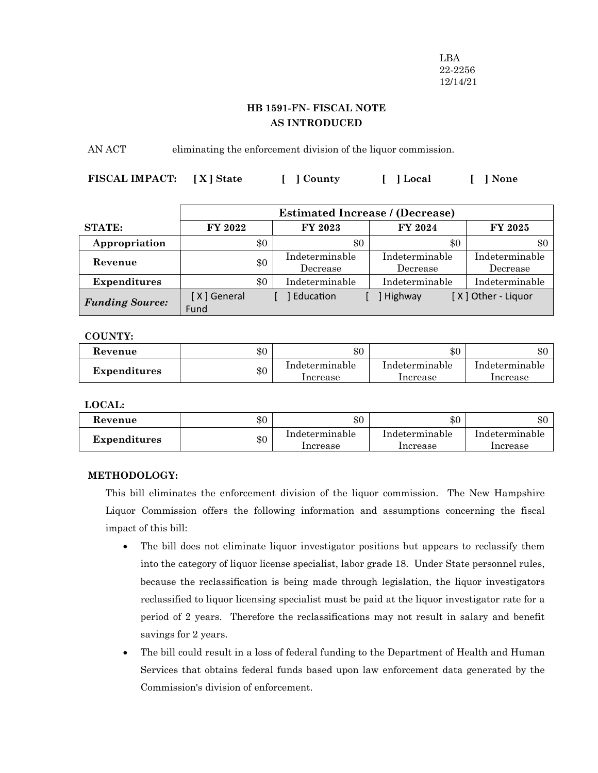LBA 22-2256 12/14/21

## **HB 1591-FN- FISCAL NOTE AS INTRODUCED**

AN ACT eliminating the enforcement division of the liquor commission.

**FISCAL IMPACT: [ X ] State [ ] County [ ] Local [ ] None**

|                        | <b>Estimated Increase / (Decrease)</b> |     |                            |                            |                            |
|------------------------|----------------------------------------|-----|----------------------------|----------------------------|----------------------------|
| <b>STATE:</b>          | FY 2022                                |     | <b>FY 2023</b>             | FY 2024                    | <b>FY 2025</b>             |
| Appropriation          |                                        | \$0 | \$0                        | \$0                        | \$0                        |
| Revenue                |                                        | \$0 | Indeterminable<br>Decrease | Indeterminable<br>Decrease | Indeterminable<br>Decrease |
| <b>Expenditures</b>    |                                        | \$0 | Indeterminable             | Indeterminable             | Indeterminable             |
| <b>Funding Source:</b> | [X] General<br>Fund                    |     | Education                  | Highway                    | [X] Other - Liquor         |

## **COUNTY:**

| Kevenue             | \$0 | \$0                        | \$0                        | \$0                        |
|---------------------|-----|----------------------------|----------------------------|----------------------------|
| <b>Expenditures</b> | \$0 | Indeterminable<br>Increase | Indeterminable<br>Increase | Indeterminable<br>Increase |

**LOCAL:**

| Revenue             | \$0 | $\$0$                      | \$0                        | \$0                        |
|---------------------|-----|----------------------------|----------------------------|----------------------------|
| <b>Expenditures</b> | \$0 | Indeterminable<br>Increase | Indeterminable<br>Increase | Indeterminable<br>Increase |

## **METHODOLOGY:**

This bill eliminates the enforcement division of the liquor commission. The New Hampshire Liquor Commission offers the following information and assumptions concerning the fiscal impact of this bill:

- · The bill does not eliminate liquor investigator positions but appears to reclassify them into the category of liquor license specialist, labor grade 18. Under State personnel rules, because the reclassification is being made through legislation, the liquor investigators reclassified to liquor licensing specialist must be paid at the liquor investigator rate for a period of 2 years. Therefore the reclassifications may not result in salary and benefit savings for 2 years.
- · The bill could result in a loss of federal funding to the Department of Health and Human Services that obtains federal funds based upon law enforcement data generated by the Commission's division of enforcement.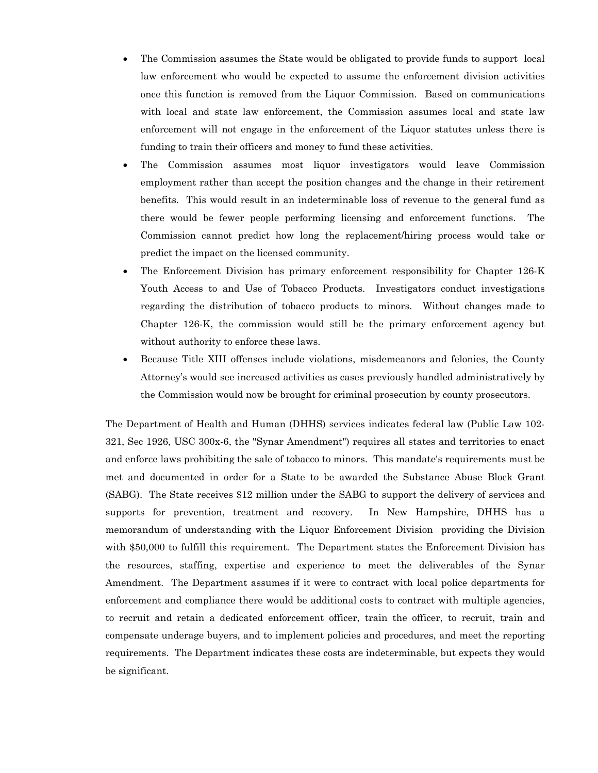- The Commission assumes the State would be obligated to provide funds to support local law enforcement who would be expected to assume the enforcement division activities once this function is removed from the Liquor Commission. Based on communications with local and state law enforcement, the Commission assumes local and state law enforcement will not engage in the enforcement of the Liquor statutes unless there is funding to train their officers and money to fund these activities.
- · The Commission assumes most liquor investigators would leave Commission employment rather than accept the position changes and the change in their retirement benefits. This would result in an indeterminable loss of revenue to the general fund as there would be fewer people performing licensing and enforcement functions. The Commission cannot predict how long the replacement/hiring process would take or predict the impact on the licensed community.
- The Enforcement Division has primary enforcement responsibility for Chapter 126-K Youth Access to and Use of Tobacco Products. Investigators conduct investigations regarding the distribution of tobacco products to minors. Without changes made to Chapter 126-K, the commission would still be the primary enforcement agency but without authority to enforce these laws.
- · Because Title XIII offenses include violations, misdemeanors and felonies, the County Attorney's would see increased activities as cases previously handled administratively by the Commission would now be brought for criminal prosecution by county prosecutors.

The Department of Health and Human (DHHS) services indicates federal law (Public Law 102- 321, Sec 1926, USC 300x-6, the "Synar Amendment") requires all states and territories to enact and enforce laws prohibiting the sale of tobacco to minors. This mandate's requirements must be met and documented in order for a State to be awarded the Substance Abuse Block Grant (SABG). The State receives \$12 million under the SABG to support the delivery of services and supports for prevention, treatment and recovery. In New Hampshire, DHHS has a memorandum of understanding with the Liquor Enforcement Division providing the Division with \$50,000 to fulfill this requirement. The Department states the Enforcement Division has the resources, staffing, expertise and experience to meet the deliverables of the Synar Amendment. The Department assumes if it were to contract with local police departments for enforcement and compliance there would be additional costs to contract with multiple agencies, to recruit and retain a dedicated enforcement officer, train the officer, to recruit, train and compensate underage buyers, and to implement policies and procedures, and meet the reporting requirements. The Department indicates these costs are indeterminable, but expects they would be significant.